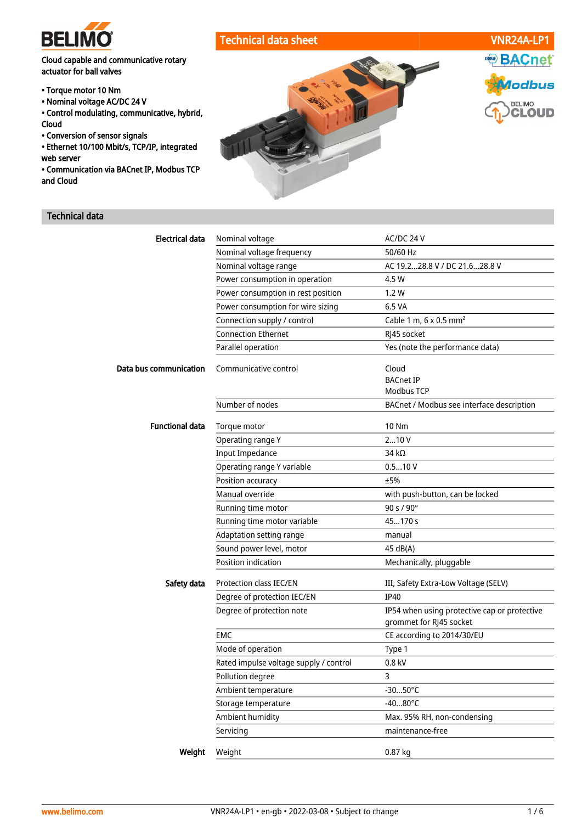

# Cloud capable and communicative rotary actuator for ball valves

- Torque motor 10 Nm
- Nominal voltage AC/DC 24 V
- Control modulating, communicative, hybrid, Cloud
- Conversion of sensor signals
- Ethernet 10/100 Mbit/s, TCP/IP, integrated web server
- Communication via BACnet IP, Modbus TCP and Cloud

# Technical data



| <b>Electrical data</b> | Nominal voltage                        | AC/DC 24 V                                   |  |
|------------------------|----------------------------------------|----------------------------------------------|--|
|                        | Nominal voltage frequency              | 50/60 Hz                                     |  |
|                        | Nominal voltage range                  | AC 19.228.8 V / DC 21.628.8 V                |  |
|                        | Power consumption in operation         | 4.5 W                                        |  |
|                        | Power consumption in rest position     | 1.2W                                         |  |
|                        | Power consumption for wire sizing      | 6.5 VA                                       |  |
|                        | Connection supply / control            | Cable 1 m, 6 x 0.5 mm <sup>2</sup>           |  |
|                        | <b>Connection Ethernet</b>             | RJ45 socket                                  |  |
|                        | Parallel operation                     | Yes (note the performance data)              |  |
| Data bus communication | Communicative control                  | Cloud                                        |  |
|                        |                                        | <b>BACnet IP</b>                             |  |
|                        |                                        | Modbus TCP                                   |  |
|                        | Number of nodes                        | BACnet / Modbus see interface description    |  |
| <b>Functional data</b> | Torque motor                           | <b>10 Nm</b>                                 |  |
|                        | Operating range Y                      | 210V                                         |  |
|                        | <b>Input Impedance</b>                 | 34 $k\Omega$                                 |  |
|                        | Operating range Y variable             | 0.510V                                       |  |
|                        | Position accuracy                      | ±5%                                          |  |
|                        | Manual override                        | with push-button, can be locked              |  |
|                        | Running time motor                     | 90 s / 90°                                   |  |
|                        | Running time motor variable            | 45170 s                                      |  |
|                        | Adaptation setting range               | manual                                       |  |
|                        | Sound power level, motor               | 45 dB(A)                                     |  |
|                        | Position indication                    | Mechanically, pluggable                      |  |
| Safety data            | Protection class IEC/EN                | III, Safety Extra-Low Voltage (SELV)         |  |
|                        | Degree of protection IEC/EN            | <b>IP40</b>                                  |  |
|                        | Degree of protection note              | IP54 when using protective cap or protective |  |
|                        |                                        | grommet for RJ45 socket                      |  |
|                        | <b>EMC</b>                             | CE according to 2014/30/EU                   |  |
|                        | Mode of operation                      | Type 1                                       |  |
|                        | Rated impulse voltage supply / control | 0.8 kV                                       |  |
|                        | Pollution degree                       | 3                                            |  |
|                        | Ambient temperature                    | -3050°C                                      |  |
|                        | Storage temperature                    | $-4080^{\circ}$ C                            |  |
|                        | Ambient humidity                       | Max. 95% RH, non-condensing                  |  |
|                        | Servicing                              | maintenance-free                             |  |
| Weight                 | Weight                                 | 0.87 kg                                      |  |
|                        |                                        |                                              |  |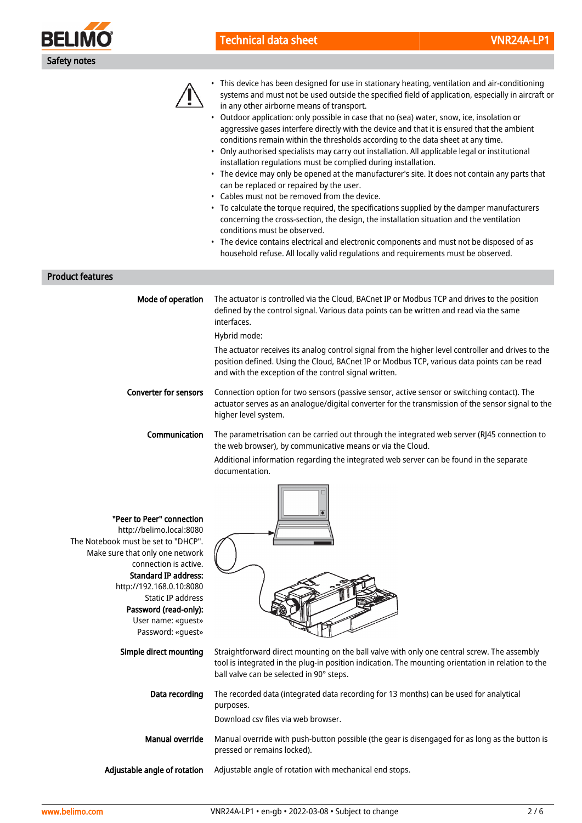

# Technical data sheet VNR24A-LP1



• This device has been designed for use in stationary heating, ventilation and air-conditioning systems and must not be used outside the specified field of application, especially in aircraft or in any other airborne means of transport.

- Outdoor application: only possible in case that no (sea) water, snow, ice, insolation or aggressive gases interfere directly with the device and that it is ensured that the ambient conditions remain within the thresholds according to the data sheet at any time.
- Only authorised specialists may carry out installation. All applicable legal or institutional installation regulations must be complied during installation.
- The device may only be opened at the manufacturer's site. It does not contain any parts that can be replaced or repaired by the user.
- Cables must not be removed from the device.
- To calculate the torque required, the specifications supplied by the damper manufacturers concerning the cross-section, the design, the installation situation and the ventilation conditions must be observed.
- The device contains electrical and electronic components and must not be disposed of as household refuse. All locally valid regulations and requirements must be observed.

Product features

| Mode of operation            | The actuator is controlled via the Cloud, BACnet IP or Modbus TCP and drives to the position<br>defined by the control signal. Various data points can be written and read via the same<br>interfaces.                                                     |
|------------------------------|------------------------------------------------------------------------------------------------------------------------------------------------------------------------------------------------------------------------------------------------------------|
|                              | Hybrid mode:                                                                                                                                                                                                                                               |
|                              | The actuator receives its analog control signal from the higher level controller and drives to the<br>position defined. Using the Cloud, BACnet IP or Modbus TCP, various data points can be read<br>and with the exception of the control signal written. |
| <b>Converter for sensors</b> | Connection option for two sensors (passive sensor, active sensor or switching contact). The<br>actuator serves as an analogue/digital converter for the transmission of the sensor signal to the<br>higher level system.                                   |
| <b>Communication</b>         | The parametrisation can be carried out through the integrated web server (RJ45 connection to<br>the web browser), by communicative means or via the Cloud.                                                                                                 |
|                              |                                                                                                                                                                                                                                                            |

Additional information regarding the integrated web server can be found in the separate documentation.

| "Peer to Peer" connection<br>http://belimo.local:8080<br>The Notebook must be set to "DHCP".<br>Make sure that only one network<br>connection is active.<br><b>Standard IP address:</b><br>http://192.168.0.10:8080<br>Static IP address<br>Password (read-only):<br>User name: «quest»<br>Password: «guest» |                                                                                                                                                                                                                                               |
|--------------------------------------------------------------------------------------------------------------------------------------------------------------------------------------------------------------------------------------------------------------------------------------------------------------|-----------------------------------------------------------------------------------------------------------------------------------------------------------------------------------------------------------------------------------------------|
| Simple direct mounting                                                                                                                                                                                                                                                                                       | Straightforward direct mounting on the ball valve with only one central screw. The assembly<br>tool is integrated in the plug-in position indication. The mounting orientation in relation to the<br>ball valve can be selected in 90° steps. |
| Data recording                                                                                                                                                                                                                                                                                               | The recorded data (integrated data recording for 13 months) can be used for analytical<br>purposes.<br>Download csy files via web browser.                                                                                                    |
| Manual override                                                                                                                                                                                                                                                                                              | Manual override with push-button possible (the gear is disengaged for as long as the button is<br>pressed or remains locked).                                                                                                                 |
| Adjustable angle of rotation                                                                                                                                                                                                                                                                                 | Adjustable angle of rotation with mechanical end stops.                                                                                                                                                                                       |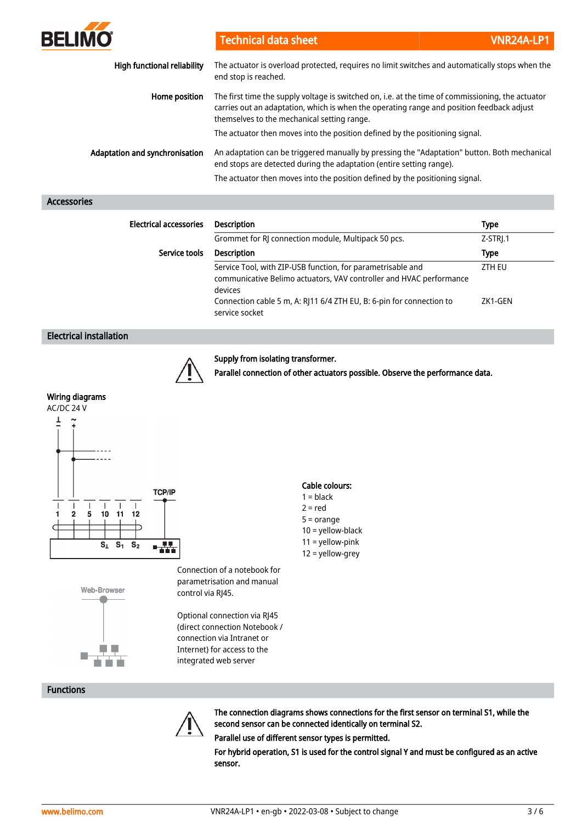| <b>BELIMO</b>                      | <b>Technical data sheet</b>                                                                                                                                                                                                                   | VNR24A-LP1 |
|------------------------------------|-----------------------------------------------------------------------------------------------------------------------------------------------------------------------------------------------------------------------------------------------|------------|
| <b>High functional reliability</b> | The actuator is overload protected, requires no limit switches and automatically stops when the<br>end stop is reached.                                                                                                                       |            |
| Home position                      | The first time the supply voltage is switched on, i.e. at the time of commissioning, the actuator<br>carries out an adaptation, which is when the operating range and position feedback adjust<br>themselves to the mechanical setting range. |            |
|                                    | The actuator then moves into the position defined by the positioning signal.                                                                                                                                                                  |            |
| Adaptation and synchronisation     | An adaptation can be triggered manually by pressing the "Adaptation" button. Both mechanical<br>end stops are detected during the adaptation (entire setting range).                                                                          |            |
|                                    | The actuator then moves into the position defined by the positioning signal.                                                                                                                                                                  |            |

## Accessories

| <b>Electrical accessories</b> | <b>Description</b>                                                                                                                            | <b>Type</b> |
|-------------------------------|-----------------------------------------------------------------------------------------------------------------------------------------------|-------------|
|                               | Grommet for RJ connection module, Multipack 50 pcs.                                                                                           | Z-STRJ.1    |
| Service tools                 | <b>Description</b>                                                                                                                            | <b>Type</b> |
|                               | Service Tool, with ZIP-USB function, for parametrisable and<br>communicative Belimo actuators, VAV controller and HVAC performance<br>devices | ZTH EU      |
|                               | Connection cable 5 m, A: RJ11 6/4 ZTH EU, B: 6-pin for connection to<br>service socket                                                        | ZK1-GEN     |

## Electrical installation



#### Supply from isolating transformer.

Parallel connection of other actuators possible. Observe the performance data.

## Wiring diagrams





Connection of a notebook for parametrisation and manual control via RJ45.

Optional connection via RJ45 (direct connection Notebook / connection via Intranet or Internet) for access to the integrated web server

## Cable colours:

- $1 = **black**$
- $2 = red$
- 5 = orange
- 10 = yellow-black 11 = yellow-pink
- 12 = yellow-grey



The connection diagrams shows connections for the first sensor on terminal S1, while the second sensor can be connected identically on terminal S2.

Parallel use of different sensor types is permitted.

For hybrid operation, S1 is used for the control signal Y and must be configured as an active sensor.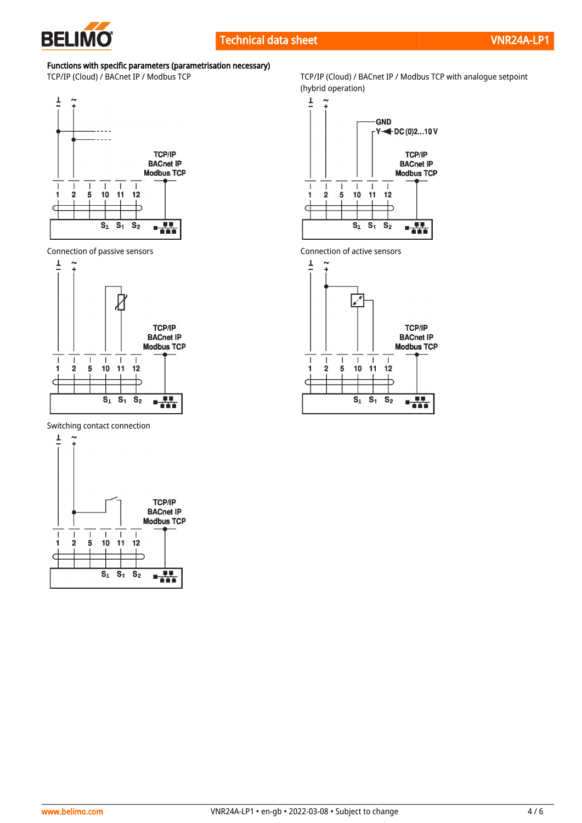

# Functions with specific parameters (parametrisation necessary)



Connection of passive sensors Connection of active sensors



Switching contact connection



TCP/IP (Cloud) / BACnet IP / Modbus TCP TCP/IP (Cloud) / BACnet IP / Modbus TCP with analogue setpoint (hybrid operation)



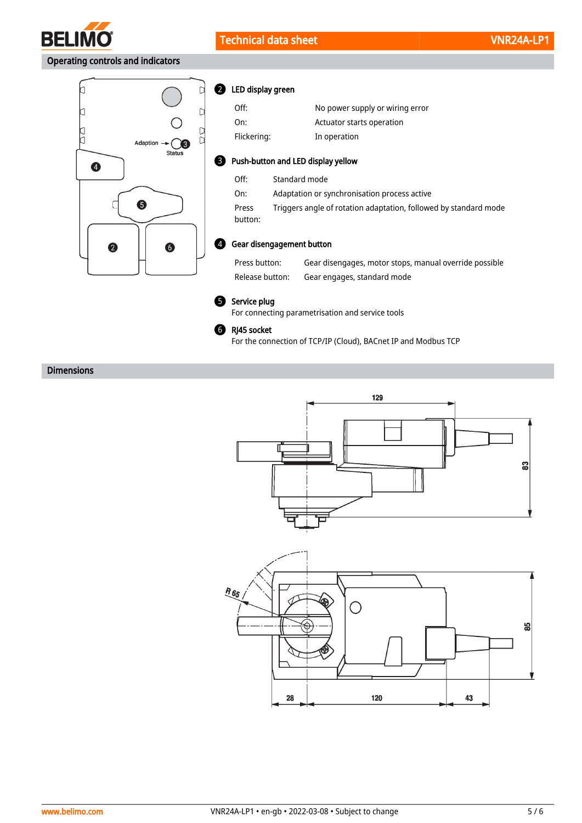

# Operating controls and indicators



|  |  |  | <b>2</b> LED display green |
|--|--|--|----------------------------|
|--|--|--|----------------------------|

| Off:                               | No power supply or wiring error              |  |
|------------------------------------|----------------------------------------------|--|
| On:                                | Actuator starts operation                    |  |
| Flickering:                        | In operation                                 |  |
| Push-button and LED display yellow |                                              |  |
| Off:                               | Standard mode                                |  |
| On:                                | Adaptation or synchronisation process active |  |

Press button: Triggers angle of rotation adaptation, followed by standard mode

#### Gear disengagement button 4

Press button: Gear disengages, motor stops, manual override possible Release button: Gear engages, standard mode



8

#### **5** Service plug

For connecting parametrisation and service tools



For the connection of TCP/IP (Cloud), BACnet IP and Modbus TCP

# Dimensions